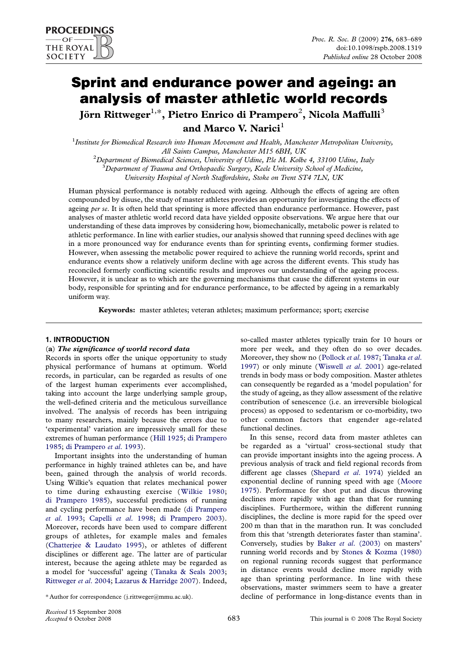# Sprint and endurance power and ageing: an analysis of master athletic world records

Jörn Rittweger $^{1,\ast},$  Pietro Enrico di Prampero $^2$ , Nicola Maffulli $^3$ and Marco V. Narici $<sup>1</sup>$ </sup>

<sup>1</sup> Institute for Biomedical Research into Human Movement and Health, Manchester Metropolitan University, All Saints Campus, Manchester M15 6BH, UK<br><sup>2</sup> Department of Biomedical Sciences, Huissenin of Hdine, Ble M, Kelb

Department of Biomedical Sciences, University of Udine, P.le M. Kolbe 4, 33100 Udine, Italy<br><sup>3</sup> Department of Trauma and Orthopaedic Surgary, Kolo University School of Medicine

Department of Trauma and Orthopaedic Surgery, Keele University School of Medicine,

University Hospital of North Staffordshire, Stoke on Trent ST4 7LN, UK

Human physical performance is notably reduced with ageing. Although the effects of ageing are often compounded by disuse, the study of master athletes provides an opportunity for investigating the effects of ageing per se. It is often held that sprinting is more affected than endurance performance. However, past analyses of master athletic world record data have yielded opposite observations. We argue here that our understanding of these data improves by considering how, biomechanically, metabolic power is related to athletic performance. In line with earlier studies, our analysis showed that running speed declines with age in a more pronounced way for endurance events than for sprinting events, confirming former studies. However, when assessing the metabolic power required to achieve the running world records, sprint and endurance events show a relatively uniform decline with age across the different events. This study has reconciled formerly conflicting scientific results and improves our understanding of the ageing process. However, it is unclear as to which are the governing mechanisms that cause the different systems in our body, responsible for sprinting and for endurance performance, to be affected by ageing in a remarkably uniform way.

Keywords: master athletes; veteran athletes; maximum performance; sport; exercise

## 1. INTRODUCTION

## (a) The significance of world record data

Records in sports offer the unique opportunity to study physical performance of humans at optimum. World records, in particular, can be regarded as results of one of the largest human experiments ever accomplished, taking into account the large underlying sample group, the well-defined criteria and the meticulous surveillance involved. The analysis of records has been intriguing to many researchers, mainly because the errors due to 'experimental' variation are impressively small for these extremes of human performance ([Hill 1925;](#page-6-0) [di Prampero](#page-5-0) [1985](#page-5-0); [di Prampero](#page-5-0) et al. 1993).

Important insights into the understanding of human performance in highly trained athletes can be, and have been, gained through the analysis of world records. Using Wilkie's equation that relates mechanical power to time during exhausting exercise ([Wilkie 1980;](#page-6-0) [di Prampero 1985\)](#page-5-0), successful predictions of running and cycling performance have been made ([di Prampero](#page-5-0) et al[. 1993;](#page-5-0) Capelli et al[. 1998;](#page-5-0) [di Prampero 2003\)](#page-5-0). Moreover, records have been used to compare different groups of athletes, for example males and females ([Chatterjee & Laudato 1995\)](#page-5-0), or athletes of different disciplines or different age. The latter are of particular interest, because the ageing athlete may be regarded as a model for 'successful' ageing ([Tanaka & Seals 2003;](#page-6-0) [Rittweger](#page-6-0) et al. 2004; [Lazarus & Harridge 2007\)](#page-6-0). Indeed,

so-called master athletes typically train for 10 hours or more per week, and they often do so over decades. Moreover, they show no ([Pollock](#page-6-0) et al. 1987; [Tanaka](#page-6-0) et al. [1997](#page-6-0)) or only minute ([Wiswell](#page-6-0) et al. 2001) age-related trends in body mass or body composition. Master athletes can consequently be regarded as a 'model population' for the study of ageing, as they allow assessment of the relative contribution of senescence (i.e. an irreversible biological process) as opposed to sedentarism or co-morbidity, two other common factors that engender age-related functional declines.

In this sense, record data from master athletes can be regarded as a 'virtual' cross-sectional study that can provide important insights into the ageing process. A previous analysis of track and field regional records from different age classes [\(Shepard](#page-6-0) et al. 1974) yielded an exponential decline of running speed with age ([Moore](#page-6-0) [1975](#page-6-0)). Performance for shot put and discus throwing declines more rapidly with age than that for running disciplines. Furthermore, within the different running disciplines, the decline is more rapid for the speed over 200 m than that in the marathon run. It was concluded from this that 'strength deteriorates faster than stamina'. Conversely, studies by Baker et al[. \(2003\)](#page-5-0) on masters' running world records and by [Stones & Kozma \(1980\)](#page-6-0) on regional running records suggest that performance in distance events would decline more rapidly with age than sprinting performance. In line with these observations, master swimmers seem to have a greater decline of performance in long-distance events than in

<sup>\*</sup> Author for correspondence (j.rittweger@mmu.ac.uk).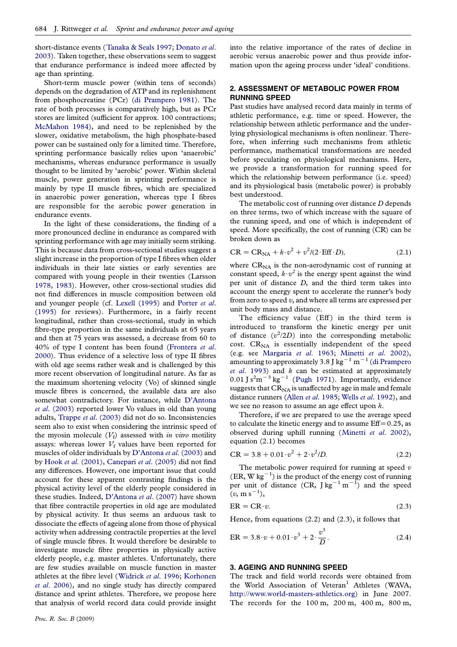short-distance events ([Tanaka & Seals 1997](#page-6-0); [Donato](#page-5-0) et al. [2003](#page-5-0)). Taken together, these observations seem to suggest that endurance performance is indeed more affected by age than sprinting.

Short-term muscle power (within tens of seconds) depends on the degradation of ATP and its replenishment from phosphocreatine (PCr) [\(di Prampero 1981\)](#page-5-0). The rate of both processes is comparatively high, but as PCr stores are limited (sufficient for approx. 100 contractions; [McMahon 1984](#page-6-0)), and need to be replenished by the slower, oxidative metabolism, the high phosphate-based power can be sustained only for a limited time. Therefore, sprinting performance basically relies upon 'anaerobic' mechanisms, whereas endurance performance is usually thought to be limited by 'aerobic' power. Within skeletal muscle, power generation in sprinting performance is mainly by type II muscle fibres, which are specialized in anaerobic power generation, whereas type I fibres are responsible for the aerobic power generation in endurance events.

In the light of these considerations, the finding of a more pronounced decline in endurance as compared with sprinting performance with age may initially seem striking. This is because data from cross-sectional studies suggest a slight increase in the proportion of type I fibres when older individuals in their late sixties or early seventies are compared with young people in their twenties (Larsson [1978](#page-6-0), [1983\)](#page-6-0). However, other cross-sectional studies did not find differences in muscle composition between old and younger people (cf. [Lexell \(1995\)](#page-6-0) and [Porter](#page-6-0) et al. [\(1995\)](#page-6-0) for reviews). Furthermore, in a fairly recent longitudinal, rather than cross-sectional, study in which fibre-type proportion in the same individuals at 65 years and then at 75 years was assessed, a decrease from 60 to 40% of type I content has been found [\(Frontera](#page-6-0) et al. [2000](#page-6-0)). Thus evidence of a selective loss of type II fibres with old age seems rather weak and is challenged by this more recent observation of longitudinal nature. As far as the maximum shortening velocity (Vo) of skinned single muscle fibres is concerned, the available data are also somewhat contradictory. For instance, while [D'Antona](#page-5-0) et al[. \(2003\)](#page-5-0) reported lower Vo values in old than young adults, Trappe et al[. \(2003\)](#page-6-0) did not do so. Inconsistencies seem also to exist when considering the intrinsic speed of the myosin molecule  $(V_f)$  assessed with in vitro motility assays: whereas lower  $V_f$  values have been reported for muscles of older individuals by [D'Antona](#page-5-0) et al. (2003) and by Hook et al[. \(2001\),](#page-6-0) [Canepari](#page-5-0) et al. (2005) did not find any differences. However, one important issue that could account for these apparent contrasting findings is the physical activity level of the elderly people considered in these studies. Indeed, [D'Antona](#page-5-0) et al. (2007) have shown that fibre contractile properties in old age are modulated by physical activity. It thus seems an arduous task to dissociate the effects of ageing alone from those of physical activity when addressing contractile properties at the level of single muscle fibres. It would therefore be desirable to investigate muscle fibre properties in physically active elderly people, e.g. master athletes. Unfortunately, there are few studies available on muscle function in master athletes at the fibre level ([Widrick](#page-6-0) et al. 1996; [Korhonen](#page-6-0) et al[. 2006](#page-6-0)), and no single study has directly compared distance and sprint athletes. Therefore, we propose here that analysis of world record data could provide insight

into the relative importance of the rates of decline in aerobic versus anaerobic power and thus provide information upon the ageing process under 'ideal' conditions.

## 2. ASSESSMENT OF METABOLIC POWER FROM RUNNING SPEED

Past studies have analysed record data mainly in terms of athletic performance, e.g. time or speed. However, the relationship between athletic performance and the underlying physiological mechanisms is often nonlinear. Therefore, when inferring such mechanisms from athletic performance, mathematical transformations are needed before speculating on physiological mechanisms. Here, we provide a transformation for running speed for which the relationship between performance (i.e. speed) and its physiological basis (metabolic power) is probably best understood.

The metabolic cost of running over distance D depends on three terms, two of which increase with the square of the running speed, and one of which is independent of speed. More specifically, the cost of running (CR) can be broken down as

$$
CR = CRNA + k \cdot v2 + v2 / (2 \cdot Eff \cdot D),
$$
 (2.1)

where  $CR_{NA}$  is the non-aerodynamic cost of running at constant speed,  $k \cdot v^2$  is the energy spent against the wind per unit of distance D, and the third term takes into account the energy spent to accelerate the runner's body from zero to speed v, and where all terms are expressed per unit body mass and distance.

The efficiency value (Eff) in the third term is introduced to transform the kinetic energy per unit of distance  $(v^2/2D)$  into the corresponding metabolic cost.  $CR_{NA}$  is essentially independent of the speed (e.g. see [Margaria](#page-6-0) et al. 1963; [Minetti](#page-6-0) et al. 2002), amounting to approximately 3.8 J kg<sup>-1</sup> m<sup>-1</sup> ([di Prampero](#page-5-0) et al[. 1993\)](#page-5-0) and  $k$  can be estimated at approximately  $0.01$  J s<sup>2</sup>m<sup>-3</sup> kg<sup>-1</sup> ([Pugh 1971](#page-6-0)). Importantly, evidence suggests that  $CR<sub>NA</sub>$  is unaffected by age in male and female distance runners (Allen et al[. 1985;](#page-5-0) Wells et al[. 1992](#page-6-0)), and we see no reason to assume an age effect upon k.

Therefore, if we are prepared to use the average speed to calculate the kinetic energy and to assume  $Eff=0.25$ , as observed during uphill running ([Minetti](#page-6-0) et al. 2002), equation (2.1) becomes

$$
CR = 3.8 + 0.01 \cdot v^2 + 2 \cdot v^2 / D. \tag{2.2}
$$

The metabolic power required for running at speed  $v$  $(ER, W kg<sup>-1</sup>)$  is the product of the energy cost of running per unit of distance  $(CR, Jkg^{-1}m^{-1})$  and the speed  $(v, m s^{-1}),$ 

$$
ER = CR \cdot v. \tag{2.3}
$$

Hence, from equations (2.2) and (2.3), it follows that

$$
ER = 3.8 \cdot v + 0.01 \cdot v^3 + 2 \cdot \frac{v^3}{D}.
$$
 (2.4)

# 3. AGEING AND RUNNING SPEED

The track and field world records were obtained from the World Association of Veteran<sup>[1](#page-5-0)</sup> Athletes (WAVA, <http://www.world-masters-athletics.org>) in June 2007. The records for the 100 m, 200 m, 400 m, 800 m,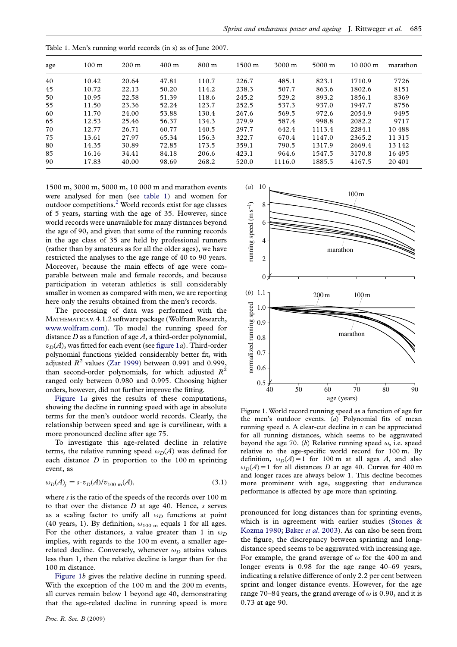| age | 100 <sub>m</sub> | $200 \text{ m}$ | $400 \text{ m}$ | $800 \text{ m}$ | $1500 \; \mathrm{m}$ | $3000 \text{ m}$ | $5000 \text{ m}$ | $10000 \text{ m}$ | marathon |
|-----|------------------|-----------------|-----------------|-----------------|----------------------|------------------|------------------|-------------------|----------|
| 40  | 10.42            | 20.64           | 47.81           | 110.7           | 226.7                | 485.1            | 823.1            | 1710.9            | 7726     |
| 45  | 10.72            | 22.13           | 50.20           | 114.2           | 238.3                | 507.7            | 863.6            | 1802.6            | 8151     |
| 50  | 10.95            | 22.58           | 51.39           | 118.6           | 245.2                | 529.2            | 893.2            | 1856.1            | 8369     |
| 55  | 11.50            | 23.36           | 52.24           | 123.7           | 252.5                | 537.3            | 937.0            | 1947.7            | 8756     |
| 60  | 11.70            | 24.00           | 53.88           | 130.4           | 267.6                | 569.5            | 972.6            | 2054.9            | 9495     |
| 65  | 12.53            | 25.46           | 56.37           | 134.3           | 279.9                | 587.4            | 998.8            | 2082.2            | 9717     |
| 70  | 12.77            | 26.71           | 60.77           | 140.5           | 297.7                | 642.4            | 1113.4           | 2284.1            | 10488    |
| 75  | 13.61            | 27.97           | 65.34           | 156.3           | 322.7                | 670.4            | 1147.0           | 2365.2            | 11 315   |
| 80  | 14.35            | 30.89           | 72.85           | 173.5           | 359.1                | 790.5            | 1317.9           | 2669.4            | 13 142   |
| 85  | 16.16            | 34.41           | 84.18           | 206.6           | 423.1                | 964.6            | 1547.5           | 3170.8            | 16495    |
| 90  | 17.83            | 40.00           | 98.69           | 268.2           | 520.0                | 1116.0           | 1885.5           | 4167.5            | 20 401   |

<span id="page-2-0"></span>Table 1. Men's running world records (in s) as of June 2007.

1500 m, 3000 m, 5000 m, 10 000 m and marathon events were analysed for men (see table 1) and women for outdoor competitions[.2](#page-5-0) World records exist for age classes of 5 years, starting with the age of 35. However, since world records were unavailable for many distances beyond the age of 90, and given that some of the running records in the age class of 35 are held by professional runners (rather than by amateurs as for all the older ages), we have restricted the analyses to the age range of 40 to 90 years. Moreover, because the main effects of age were comparable between male and female records, and because participation in veteran athletics is still considerably smaller in women as compared with men, we are reporting here only the results obtained from the men's records.

The processing of data was performed with the MATHEMATICA v. 4.1.2 software package (Wolfram Research, [www.wolfram.com\)](http://www.wolfram.com). To model the running speed for distance  $D$  as a function of age  $A$ , a third-order polynomial,  $v_D(A)$ , was fitted for each event (see figure 1a). Third-order polynomial functions yielded considerably better fit, with adjusted  $R^2$  values ([Zar 1999\)](#page-6-0) between 0.991 and 0.999, than second-order polynomials, for which adjusted  $R^2$ ranged only between 0.980 and 0.995. Choosing higher orders, however, did not further improve the fitting.

Figure 1a gives the results of these computations, showing the decline in running speed with age in absolute terms for the men's outdoor world records. Clearly, the relationship between speed and age is curvilinear, with a more pronounced decline after age 75.

To investigate this age-related decline in relative terms, the relative running speed  $\omega_D(A)$  was defined for each distance  $D$  in proportion to the 100 m sprinting event, as

$$
\omega_D(A)_j = s \cdot v_D(A)/v_{100 \text{ m}}(A),\tag{3.1}
$$

where s is the ratio of the speeds of the records over 100 m to that over the distance  $D$  at age 40. Hence,  $s$  serves as a scaling factor to unify all  $\omega_D$  functions at point (40 years, 1). By definition,  $\omega_{100 \text{ m}}$  equals 1 for all ages. For the other distances, a value greater than 1 in  $\omega_D$ implies, with regards to the 100 m event, a smaller agerelated decline. Conversely, whenever  $\omega_D$  attains values less than 1, then the relative decline is larger than for the 100 m distance.

Figure 1b gives the relative decline in running speed. With the exception of the 100 m and the 200 m events, all curves remain below 1 beyond age 40, demonstrating that the age-related decline in running speed is more



Figure 1. World record running speed as a function of age for the men's outdoor events. (a) Polynomial fits of mean running speed  $v$ . A clear-cut decline in  $v$  can be appreciated for all running distances, which seems to be aggravated beyond the age 70. (b) Relative running speed  $\omega$ , i.e. speed relative to the age-specific world record for 100 m. By definition,  $\omega_D(A) = 1$  for 100 m at all ages A, and also  $\omega_D(A) = 1$  for all distances D at age 40. Curves for 400 m and longer races are always below 1. This decline becomes more prominent with age, suggesting that endurance performance is affected by age more than sprinting.

pronounced for long distances than for sprinting events, which is in agreement with earlier studies [\(Stones &](#page-6-0) [Kozma 1980](#page-6-0); Baker et al[. 2003\)](#page-5-0). As can also be seen from the figure, the discrepancy between sprinting and longdistance speed seems to be aggravated with increasing age. For example, the grand average of  $\omega$  for the 400 m and longer events is 0.98 for the age range 40–69 years, indicating a relative difference of only 2.2 per cent between sprint and longer distance events. However, for the age range 70–84 years, the grand average of  $\omega$  is 0.90, and it is 0.73 at age 90.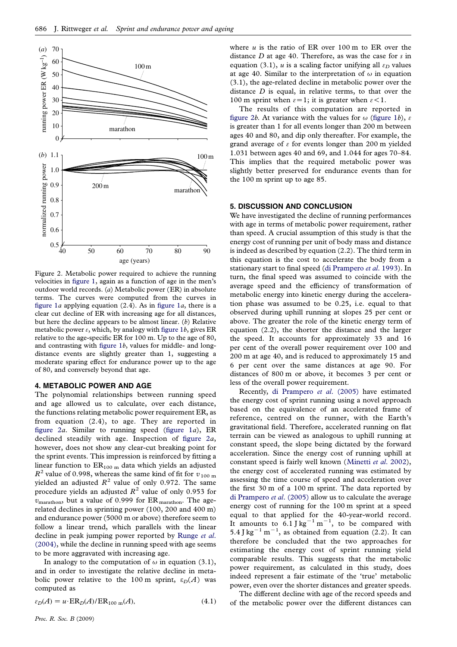<span id="page-3-0"></span>

Figure 2. Metabolic power required to achieve the running velocities in [figure 1](#page-2-0), again as a function of age in the men's outdoor world records. (a) Metabolic power (ER) in absolute terms. The curves were computed from the curves in [figure 1](#page-2-0)*a* applying equation  $(2.4)$ . As in figure 1*a*, there is a clear cut decline of ER with increasing age for all distances, but here the decline appears to be almost linear. (b) Relative metabolic power  $\varepsilon$ , which, by analogy with [figure 1](#page-2-0)b, gives ER relative to the age-specific ER for 100 m. Up to the age of 80, and contrasting with [figure 1](#page-5-0)b, values for middle- and longdistance events are slightly greater than 1, suggesting a moderate sparing effect for endurance power up to the age of 80, and conversely beyond that age.

#### 4. METABOLIC POWER AND AGE

The polynomial relationships between running speed and age allowed us to calculate, over each distance, the functions relating metabolic power requirement ER, as from equation (2.4), to age. They are reported in figure  $2a$ . Similar to running speed (figure  $1a$ ), ER declined steadily with age. Inspection of figure 2a, however, does not show any clear-cut breaking point for the sprint events. This impression is reinforced by fitting a linear function to  $ER_{100 \text{ m}}$  data which yields an adjusted  $R^2$  value of 0.998, whereas the same kind of fit for  $v_{100 \text{ m}}$ yielded an adjusted  $R^2$  value of only 0.972. The same procedure yields an adjusted  $R^2$  value of only 0.953 for  $v_{\text{marathon}}$ , but a value of 0.999 for ER marathon. The agerelated declines in sprinting power (100, 200 and 400 m) and endurance power (5000 m or above) therefore seem to follow a linear trend, which parallels with the linear decline in peak jumping power reported by [Runge](#page-6-0) et al. [\(2004\),](#page-6-0) while the decline in running speed with age seems to be more aggravated with increasing age.

In analogy to the computation of  $\omega$  in equation (3.1), and in order to investigate the relative decline in metabolic power relative to the 100 m sprint,  $\varepsilon_D(A)$  was computed as

$$
\varepsilon_D(A) = u \cdot \text{ER}_D(A) / \text{ER}_{100 \text{ m}}(A),\tag{4.1}
$$

where  $u$  is the ratio of ER over 100 m to ER over the distance D at age 40. Therefore, as was the case for s in equation (3.1), u is a scaling factor unifying all  $\varepsilon_D$  values at age 40. Similar to the interpretation of  $\omega$  in equation (3.1), the age-related decline in metabolic power over the distance  $D$  is equal, in relative terms, to that over the 100 m sprint when  $\varepsilon = 1$ ; it is greater when  $\varepsilon < 1$ .

The results of this computation are reported in figure 2b. At variance with the values for  $\omega$  ([figure 1](#page-2-0)b),  $\epsilon$ is greater than 1 for all events longer than 200 m between ages 40 and 80, and dip only thereafter. For example, the grand average of  $\epsilon$  for events longer than 200 m yielded 1.031 between ages 40 and 69, and 1.044 for ages 70–84. This implies that the required metabolic power was slightly better preserved for endurance events than for the 100 m sprint up to age 85.

#### 5. DISCUSSION AND CONCLUSION

We have investigated the decline of running performances with age in terms of metabolic power requirement, rather than speed. A crucial assumption of this study is that the energy cost of running per unit of body mass and distance is indeed as described by equation (2.2). The third term in this equation is the cost to accelerate the body from a stationary start to final speed ([di Prampero](#page-5-0) et al. 1993). In turn, the final speed was assumed to coincide with the average speed and the efficiency of transformation of metabolic energy into kinetic energy during the acceleration phase was assumed to be 0.25, i.e. equal to that observed during uphill running at slopes 25 per cent or above. The greater the role of the kinetic energy term of equation (2.2), the shorter the distance and the larger the speed. It accounts for approximately 33 and 16 per cent of the overall power requirement over 100 and 200 m at age 40, and is reduced to approximately 15 and 6 per cent over the same distances at age 90. For distances of 800 m or above, it becomes 3 per cent or less of the overall power requirement.

Recently, [di Prampero](#page-5-0) et al. (2005) have estimated the energy cost of sprint running using a novel approach based on the equivalence of an accelerated frame of reference, centred on the runner, with the Earth's gravitational field. Therefore, accelerated running on flat terrain can be viewed as analogous to uphill running at constant speed, the slope being dictated by the forward acceleration. Since the energy cost of running uphill at constant speed is fairly well known ([Minetti](#page-6-0) et al. 2002), the energy cost of accelerated running was estimated by assessing the time course of speed and acceleration over the first 30 m of a 100 m sprint. The data reported by [di Prampero](#page-5-0) et al. (2005) allow us to calculate the average energy cost of running for the 100 m sprint at a speed equal to that applied for the 40-year-world record. It amounts to  $6.1$  J kg<sup>-1</sup> m<sup>-1</sup>, to be compared with 5.4 J kg<sup>-1</sup> m<sup>-1</sup>, as obtained from equation (2.2). It can therefore be concluded that the two approaches for estimating the energy cost of sprint running yield comparable results. This suggests that the metabolic power requirement, as calculated in this study, does indeed represent a fair estimate of the 'true' metabolic power, even over the shorter distances and greater speeds.

The different decline with age of the record speeds and of the metabolic power over the different distances can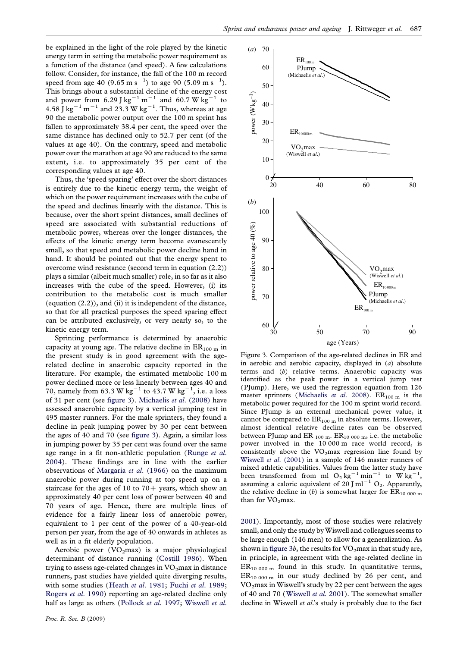be explained in the light of the role played by the kinetic energy term in setting the metabolic power requirement as a function of the distance (and speed). A few calculations follow. Consider, for instance, the fall of the 100 m record speed from age 40 (9.65 m s<sup>-1</sup>) to age 90 (5.09 m s<sup>-1</sup>). This brings about a substantial decline of the energy cost and power from 6.29 J kg<sup>-1</sup> m<sup>-1</sup> and 60.7 W kg<sup>-1</sup> to  $4.58$  J kg<sup>-1</sup> m<sup>-1</sup> and 23.3 W kg<sup>-1</sup>. Thus, whereas at age 90 the metabolic power output over the 100 m sprint has fallen to approximately 38.4 per cent, the speed over the same distance has declined only to 52.7 per cent (of the values at age 40). On the contrary, speed and metabolic power over the marathon at age 90 are reduced to the same extent, i.e. to approximately 35 per cent of the corresponding values at age 40.

Thus, the 'speed sparing' effect over the short distances is entirely due to the kinetic energy term, the weight of which on the power requirement increases with the cube of the speed and declines linearly with the distance. This is because, over the short sprint distances, small declines of speed are associated with substantial reductions of metabolic power, whereas over the longer distances, the effects of the kinetic energy term become evanescently small, so that speed and metabolic power decline hand in hand. It should be pointed out that the energy spent to overcome wind resistance (second term in equation (2.2)) plays a similar (albeit much smaller) role, in so far as it also increases with the cube of the speed. However, (i) its contribution to the metabolic cost is much smaller (equation (2.2)), and (ii) it is independent of the distance, so that for all practical purposes the speed sparing effect can be attributed exclusively, or very nearly so, to the kinetic energy term.

Sprinting performance is determined by anaerobic capacity at young age. The relative decline in  $ER_{100 \text{ m}}$  in the present study is in good agreement with the agerelated decline in anaerobic capacity reported in the literature. For example, the estimated metabolic 100 m power declined more or less linearly between ages 40 and 70, namely from 63.3 W kg<sup>-1</sup> to 43.7 W kg<sup>-1</sup>, i.e. a loss of 31 per cent (see figure 3). [Michaelis](#page-6-0) et al. (2008) have assessed anaerobic capacity by a vertical jumping test in 495 master runners. For the male sprinters, they found a decline in peak jumping power by 30 per cent between the ages of 40 and 70 (see figure 3). Again, a similar loss in jumping power by 35 per cent was found over the same age range in a fit non-athletic population ([Runge](#page-6-0) et al. [2004\)](#page-6-0). These findings are in line with the earlier observations of [Margaria](#page-6-0) et al. (1966) on the maximum anaerobic power during running at top speed up on a staircase for the ages of 10 to  $70+$  years, which show an approximately 40 per cent loss of power between 40 and 70 years of age. Hence, there are multiple lines of evidence for a fairly linear loss of anaerobic power, equivalent to 1 per cent of the power of a 40-year-old person per year, from the age of 40 onwards in athletes as well as in a fit elderly population.

Aerobic power (VO<sub>2</sub>max) is a major physiological determinant of distance running ([Costill 1986\)](#page-5-0). When trying to assess age-related changes in  $VO<sub>2</sub>$ max in distance runners, past studies have yielded quite diverging results, with some studies (Heath et al[. 1981;](#page-6-0) Fuchi et al[. 1989;](#page-6-0) [Rogers](#page-6-0) et al. 1990) reporting an age-related decline only half as large as others ([Pollock](#page-6-0) et al. 1997; [Wiswell](#page-6-0) et al.



Figure 3. Comparison of the age-related declines in ER and in aerobic and aerobic capacity, displayed in  $(a)$  absolute terms and (b) relative terms. Anaerobic capacity was identified as the peak power in a vertical jump test (PJump). Here, we used the regression equation from 126 master sprinters ([Michaelis](#page-6-0) et al. 2008).  $ER_{100 \text{ m}}$  is the metabolic power required for the 100 m sprint world record. Since PJump is an external mechanical power value, it cannot be compared to  $ER_{100 \text{ m}}$  in absolute terms. However, almost identical relative decline rates can be observed between PJump and ER  $_{100 \text{ m}}$ . ER $_{10000 \text{ m}}$ , i.e. the metabolic power involved in the 10 000 m race world record, is consistently above the  $VO<sub>2</sub>max$  regression line found by Wiswell et al[. \(2001\)](#page-6-0) in a sample of 146 master runners of mixed athletic capabilities. Values from the latter study have been transformed from ml  $O_2$  kg<sup>-1</sup> min<sup>-1</sup> to W kg<sup>-1</sup> , assuming a caloric equivalent of  $20$  J ml<sup>-1</sup> O<sub>2</sub>. Apparently, the relative decline in (b) is somewhat larger for  $ER_{10,000 \text{ m}}$ than for  $VO<sub>2</sub>$ max.

[2001\)](#page-6-0). Importantly, most of those studies were relatively small, and only the study by Wiswell and colleagues seems to be large enough (146 men) to allow for a generalization. As shown in figure 3b, the results for  $VO<sub>2</sub>$ max in that study are, in principle, in agreement with the age-related decline in  $ER_{10000 m}$  found in this study. In quantitative terms,  $ER_{10,000 \text{ m}}$  in our study declined by 26 per cent, and  $VO<sub>2</sub>$ max in Wiswell's study by 22 per cent between the ages of 40 and 70 ([Wiswell](#page-6-0) et al. 2001). The somewhat smaller decline in Wiswell et al.'s study is probably due to the fact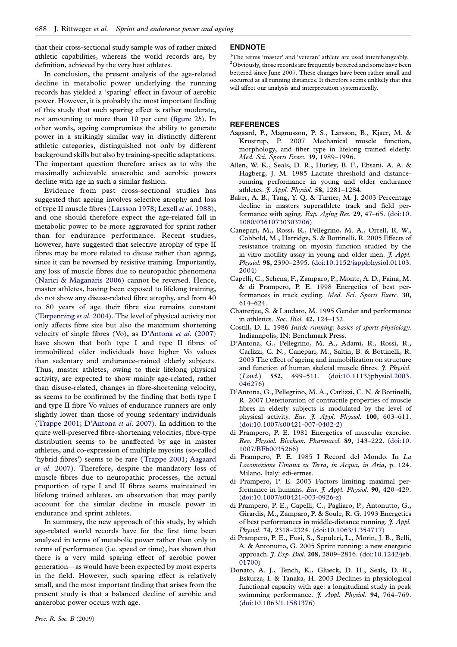<span id="page-5-0"></span>that their cross-sectional study sample was of rather mixed athletic capabilities, whereas the world records are, by definition, achieved by the very best athletes.

In conclusion, the present analysis of the age-related decline in metabolic power underlying the running records has yielded a 'sparing' effect in favour of aerobic power. However, it is probably the most important finding of this study that such sparing effect is rather moderate, not amounting to more than 10 per cent ([figure 2](#page-3-0)b). In other words, ageing compromises the ability to generate power in a strikingly similar way in distinctly different athletic categories, distinguished not only by different background skills but also by training-specific adaptations. The important question therefore arises as to why the maximally achievable anaerobic and aerobic powers decline with age in such a similar fashion.

Evidence from past cross-sectional studies has suggested that ageing involves selective atrophy and loss of type II muscle fibres ([Larsson 1978;](#page-6-0) Lexell et al[. 1988](#page-6-0)), and one should therefore expect the age-related fall in metabolic power to be more aggravated for sprint rather than for endurance performance. Recent studies, however, have suggested that selective atrophy of type II fibres may be more related to disuse rather than ageing, since it can be reversed by resistive training. Importantly, any loss of muscle fibres due to neuropathic phenomena ([Narici & Maganaris 2006](#page-6-0)) cannot be reversed. Hence, master athletes, having been exposed to lifelong training, do not show any disuse-related fibre atrophy, and from 40 to 80 years of age their fibre size remains constant ([Tarpenning](#page-6-0) et al. 2004). The level of physical activity not only affects fibre size but also the maximum shortening velocity of single fibres (Vo), as D'Antona et al. (2007) have shown that both type I and type II fibres of immobilized older individuals have higher Vo values than sedentary and endurance-trained elderly subjects. Thus, master athletes, owing to their lifelong physical activity, are expected to show mainly age-related, rather than disuse-related, changes in fibre-shortening velocity, as seems to be confirmed by the finding that both type I and type II fibre Vo values of endurance runners are only slightly lower than those of young sedentary individuals ([Trappe 2001;](#page-6-0) D'Antona et al. 2007). In addition to the quite well-preserved fibre-shortening velocities, fibre-type distribution seems to be unaffected by age in master athletes, and co-expression of multiple myosins (so-called 'hybrid fibres') seems to be rare ([Trappe 2001](#page-6-0); Aagaard et al. 2007). Therefore, despite the mandatory loss of muscle fibres due to neuropathic processes, the actual proportion of type I and II fibres seems maintained in lifelong trained athletes, an observation that may partly account for the similar decline in muscle power in endurance and sprint athletes.

In summary, the new approach of this study, by which age-related world records have for the first time been analysed in terms of metabolic power rather than only in terms of performance (i.e. speed or time), has shown that there is a very mild sparing effect of aerobic power generation—as would have been expected by most experts in the field. However, such sparing effect is relatively small, and the most important finding that arises from the present study is that a balanced decline of aerobic and anaerobic power occurs with age.

### ENDNOTE

<sup>1</sup>The terms 'master' and 'veteran' athlete are used interchangeably.  $^{2}$ Obviously, those records are frequently bettered and some have been bettered since June 2007. These changes have been rather small and occurred at all running distances. It therefore seems unlikely that this will affect our analysis and interpretation systematically.

#### **REFERENCES**

- Aagaard, P., Magnusson, P. S., Larsson, B., Kjaer, M. & Krustrup, P. 2007 Mechanical muscle function, morphology, and fiber type in lifelong trained elderly. Med. Sci. Sports Exerc. 39, 1989–1996.
- Allen, W. K., Seals, D. R., Hurley, B. F., Ehsani, A. A. & Hagberg, J. M. 1985 Lactate threshold and distancerunning performance in young and older endurance athletes. J. Appl. Physiol. 58, 1281–1284.
- Baker, A. B., Tang, Y. Q. & Turner, M. J. 2003 Percentage decline in masters superathlete track and field performance with aging. Exp. Aging Res. 29, 47–65. ([doi:10.](http://dx.doi.org/doi:10.1080/03610730303706) [1080/03610730303706\)](http://dx.doi.org/doi:10.1080/03610730303706)
- Canepari, M., Rossi, R., Pellegrino, M. A., Orrell, R. W., Cobbold, M., Harridge, S. & Bottinelli, R. 2005 Effects of resistance training on myosin function studied by the in vitro motility assay in young and older men.  $\tilde{J}$ . Appl. Physiol. 98, 2390–2395. ([doi:10.1152/japplphysiol.01103.](http://dx.doi.org/doi:10.1152/japplphysiol.01103.2004) [2004](http://dx.doi.org/doi:10.1152/japplphysiol.01103.2004))
- Capelli, C., Schena, F., Zamparo, P., Monte, A. D., Faina, M. & di Prampero, P. E. 1998 Energetics of best performances in track cycling. Med. Sci. Sports Exerc. 30, 614–624.
- Chatterjee, S. & Laudato, M. 1995 Gender and performance in athletics. Soc. Biol. 42, 124–132.
- Costill, D. L. 1986 Inside running: basics of sports physiology. Indianapolis, IN: Benchmark Press.
- D'Antona, G., Pellegrino, M. A., Adami, R., Rossi, R., Carlizzi, C. N., Canepari, M., Saltin, B. & Bottinelli, R. 2003 The effect of ageing and immobilization on structure and function of human skeletal muscle fibres. J. Physiol. (*Lond.*) 552, 499–511. ([doi:10.1113/jphysiol.2003.](http://dx.doi.org/doi:10.1113/jphysiol.2003.046276) [046276](http://dx.doi.org/doi:10.1113/jphysiol.2003.046276))
- D'Antona, G., Pellegrino, M. A., Carlizzi, C. N. & Bottinelli, R. 2007 Deterioration of contractile properties of muscle fibres in elderly subjects is modulated by the level of physical activity. Eur. J. Appl. Physiol. 100, 603-611. ([doi:10.1007/s00421-007-0402-2](http://dx.doi.org/doi:10.1007/s00421-007-0402-2))
- di Prampero, P. E. 1981 Energetics of muscular exercise. Rev. Physiol. Biochem. Pharmacol. 89, 143–222. ([doi:10.](http://dx.doi.org/doi:doi:10.1007/BFb0035266) [1007/BFb0035266](http://dx.doi.org/doi:doi:10.1007/BFb0035266))
- di Prampero, P. E. 1985 I Record del Mondo. In La Locomozione Umana su Terra, in Acqua, in Aria, p. 124. Milano, Italy: edi-ermes.
- di Prampero, P. E. 2003 Factors limiting maximal performance in humans. Eur. J. Appl. Physiol. 90, 420-429. ([doi:10.1007/s00421-003-0926-z](http://dx.doi.org/doi:10.1007/s00421-003-0926-z))
- di Prampero, P. E., Capelli, C., Pagliaro, P., Antonutto, G., Girardis, M., Zamparo, P. & Soule, R. G. 1993 Energetics of best performances in middle-distance running. *J. Appl.* Physiol. 74, 2318–2324. [\(doi:10.1063/1.354717](http://dx.doi.org/doi:10.1063/1.354717))
- di Prampero, P. E., Fusi, S., Sepulcri, L., Morin, J. B., Belli, A. & Antonutto, G. 2005 Sprint running: a new energetic approach. *J. Exp. Biol.* 208, 2809-2816. ([doi:10.1242/jeb.](http://dx.doi.org/doi:10.1242/jeb.01700) [01700](http://dx.doi.org/doi:10.1242/jeb.01700))
- Donato, A. J., Tench, K., Glueck, D. H., Seals, D. R., Eskurza, I. & Tanaka, H. 2003 Declines in physiological functional capacity with age: a longitudinal study in peak swimming performance. *J. Appl. Physiol.* 94, 764-769. ([doi:10.1063/1.1581376\)](http://dx.doi.org/doi:10.1063/1.1581376)